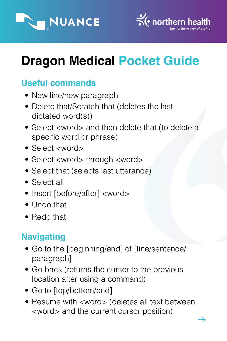



# **Dragon Medical Pocket Guide**

#### **Useful commands**

- New line/new paragraph
- Delete that/Scratch that (deletes the last dictated word(s))
- Select <word> and then delete that (to delete a specific word or phrase)
- Select <word>
- Select <word> through <word>
- Select that (selects last utterance)
- Select all
- Insert [before/after] <word>
- Undo that
- Redo that

## **Navigating**

- Go to the [beginning/end] of [Iine/sentence/ paragraph]
- Go back (returns the cursor to the previous location after using a command)
- Go to [top/bottom/end]
- Resume with <word> (deletes all text between <word> and the current cursor position)